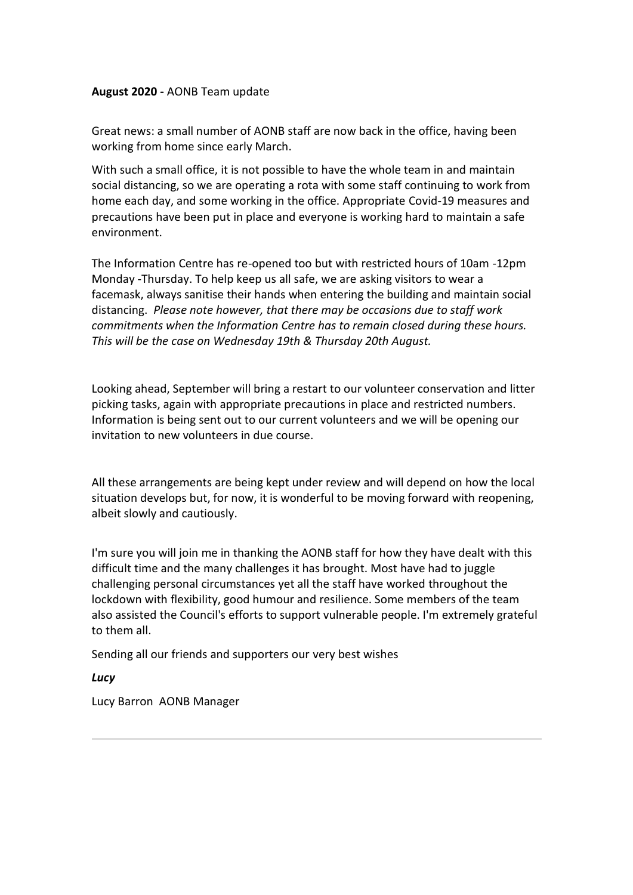### **August 2020 -** AONB Team update

Great news: a small number of AONB staff are now back in the office, having been working from home since early March. 

With such a small office, it is not possible to have the whole team in and maintain social distancing, so we are operating a rota with some staff continuing to work from home each day, and some working in the office. Appropriate Covid-19 measures and precautions have been put in place and everyone is working hard to maintain a safe environment.

The Information Centre has re-opened too but with restricted hours of 10am -12pm Monday -Thursday. To help keep us all safe, we are asking visitors to wear a facemask, always sanitise their hands when entering the building and maintain social distancing.  *Please note however, that there may be occasions due to staff work commitments when the Information Centre has to remain closed during these hours. This will be the case on Wednesday 19th & Thursday 20th August.*

Looking ahead, September will bring a restart to our volunteer conservation and litter picking tasks, again with appropriate precautions in place and restricted numbers. Information is being sent out to our current volunteers and we will be opening our invitation to new volunteers in due course.  

All these arrangements are being kept under review and will depend on how the local situation develops but, for now, it is wonderful to be moving forward with reopening, albeit slowly and cautiously.  

I'm sure you will join me in thanking the AONB staff for how they have dealt with this difficult time and the many challenges it has brought. Most have had to juggle challenging personal circumstances yet all the staff have worked throughout the lockdown with flexibility, good humour and resilience. Some members of the team also assisted the Council's efforts to support vulnerable people. I'm extremely grateful to them all.  

Sending all our friends and supporters our very best wishes 

*Lucy*

Lucy Barron  AONB Manager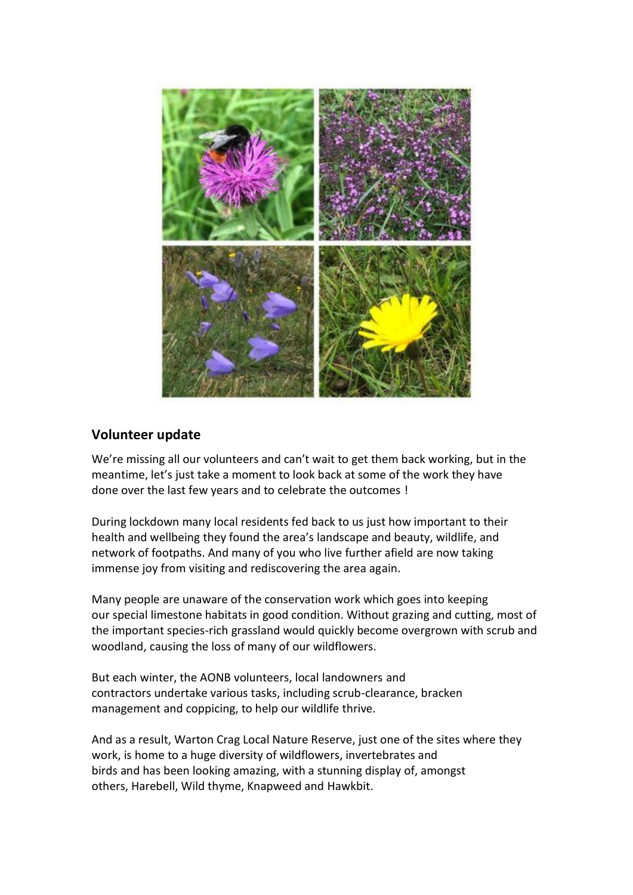

# **Volunteer update**

We're missing all our volunteers and can't wait to get them back working, but in the meantime, let's just take a moment to look back at some of the work they have done over the last few years and to celebrate the outcomes ! 

During lockdown many local residents fed back to us just how important to their health and wellbeing they found the area's landscape and beauty, wildlife, and network of footpaths. And many of you who live further afield are now taking immense joy from visiting and rediscovering the area again.

Many people are unaware of the conservation work which goes into keeping our special limestone habitats in good condition. Without grazing and cutting, most of the important species-rich grassland would quickly become overgrown with scrub and woodland, causing the loss of many of our wildflowers.  

But each winter, the AONB volunteers, local landowners and contractors undertake various tasks, including scrub-clearance, bracken management and coppicing, to help our wildlife thrive. 

And as a result, Warton Crag Local Nature Reserve, just one of the sites where they work, is home to a huge diversity of wildflowers, invertebrates and birds and has been looking amazing, with a stunning display of, amongst others, Harebell, Wild thyme, Knapweed and Hawkbit.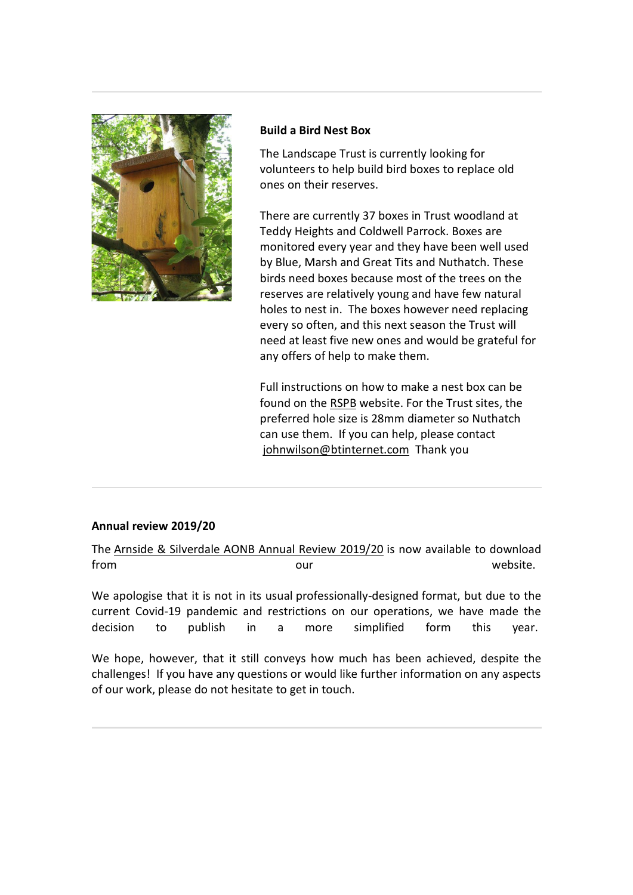

#### **Build a Bird Nest Box**

The Landscape Trust is currently looking for volunteers to help build bird boxes to replace old ones on their reserves. 

There are currently 37 boxes in Trust woodland at Teddy Heights and Coldwell Parrock. Boxes are monitored every year and they have been well used by Blue, Marsh and Great Tits and Nuthatch. These birds need boxes because most of the trees on the reserves are relatively young and have few natural holes to nest in.  The boxes however need replacing every so often, and this next season the Trust will need at least five new ones and would be grateful for any offers of help to make them.  

Full instructions on how to make a nest box can be found on the [RSPB](https://arnsidesilverdaleaonb.us18.list-manage.com/track/click?u=0a7685c67c9deb6bed3538d72&id=ab02137eaf&e=42cef1b35c) website. For the Trust sites, the preferred hole size is 28mm diameter so Nuthatch can use them.  If you can help, please contact [johnwilson@btinternet.com](mailto:johnwilson@btinternet.com) Thank you 

## **Annual review 2019/20**

The [Arnside & Silverdale AONB Annual Review 2019/20](https://arnsidesilverdaleaonb.us18.list-manage.com/track/click?u=0a7685c67c9deb6bed3538d72&id=c85fbf1c45&e=42cef1b35c) is now available to download from example, the contract of the contract of the contract of the contract of the contract of the contract of the contract of the contract of the contract of the contract of the contract of the contract of the contract of

We apologise that it is not in its usual professionally-designed format, but due to the current Covid-19 pandemic and restrictions on our operations, we have made the decision to publish in a more simplified form this year. 

We hope, however, that it still conveys how much has been achieved, despite the challenges!  If you have any questions or would like further information on any aspects of our work, please do not hesitate to get in touch.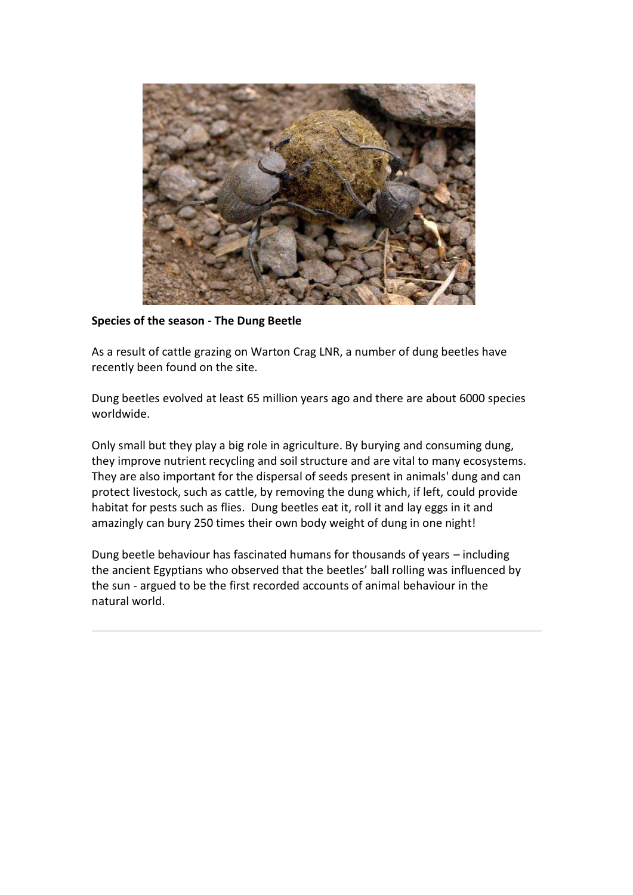

**Species of the season - The Dung Beetle**

As a result of cattle grazing on Warton Crag LNR, a number of dung beetles have recently been found on the site.

Dung beetles evolved at least 65 million years ago and there are about 6000 species worldwide.

Only small but they play a big role in agriculture. By burying and consuming dung, they improve nutrient recycling and soil structure and are vital to many ecosystems. They are also important for the dispersal of seeds present in animals' dung and can protect livestock, such as cattle, by removing the dung which, if left, could provide habitat for pests such as flies. Dung beetles eat it, roll it and lay eggs in it and amazingly can bury 250 times their own body weight of dung in one night!

Dung beetle behaviour has fascinated humans for thousands of years – including the ancient Egyptians who observed that the beetles' ball rolling was influenced by the sun - argued to be the first recorded accounts of animal behaviour in the natural world.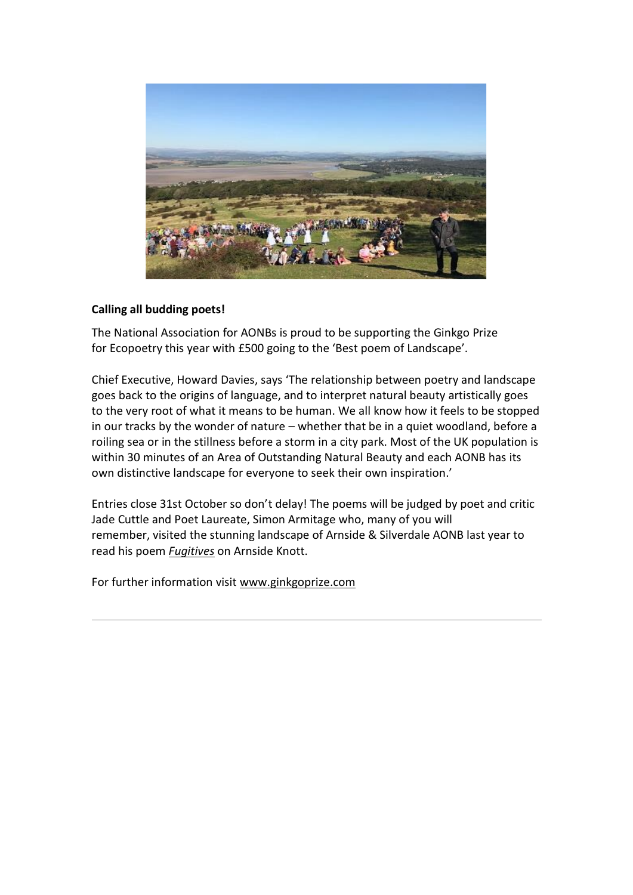

### **Calling all budding poets!**

The National Association for AONBs is proud to be supporting the Ginkgo Prize for Ecopoetry this year with £500 going to the 'Best poem of Landscape'. 

Chief Executive, Howard Davies, says 'The relationship between poetry and landscape goes back to the origins of language, and to interpret natural beauty artistically goes to the very root of what it means to be human. We all know how it feels to be stopped in our tracks by the wonder of nature – whether that be in a quiet woodland, before a roiling sea or in the stillness before a storm in a city park. Most of the UK population is within 30 minutes of an Area of Outstanding Natural Beauty and each AONB has its own distinctive landscape for everyone to seek their own inspiration.'  

Entries close 31st October so don't delay! The poems will be judged by poet and critic Jade Cuttle and Poet Laureate, Simon Armitage who, many of you will remember, visited the stunning landscape of Arnside & Silverdale AONB last year to read his poem *[Fugitives](https://arnsidesilverdaleaonb.us18.list-manage.com/track/click?u=0a7685c67c9deb6bed3538d72&id=e9e770d1ca&e=42cef1b35c)* on Arnside Knott.  

For further information visit [www.ginkgoprize.com](https://arnsidesilverdaleaonb.us18.list-manage.com/track/click?u=0a7685c67c9deb6bed3538d72&id=ae408b4972&e=42cef1b35c)